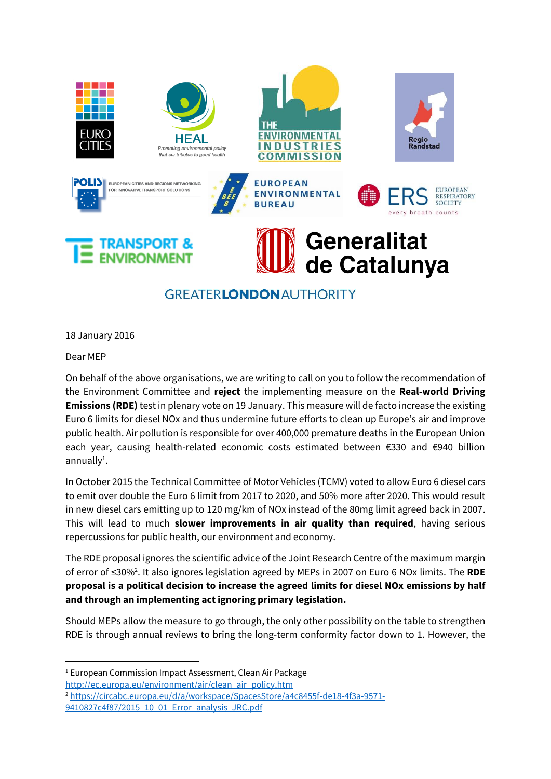

## **GREATERLONDONAUTHORITY**

18 January 2016

Dear MEP

1

On behalf of the above organisations, we are writing to call on you to follow the recommendation of the Environment Committee and **reject** the implementing measure on the **Real-world Driving Emissions (RDE)** test in plenary vote on 19 January. This measure will de facto increase the existing Euro 6 limits for diesel NOx and thus undermine future efforts to clean up Europe's air and improve public health. Air pollution is responsible for over 400,000 premature deaths in the European Union each year, causing health-related economic costs estimated between €330 and €940 billion annually<sup>1</sup>.

In October 2015 the Technical Committee of Motor Vehicles (TCMV) voted to allow Euro 6 diesel cars to emit over double the Euro 6 limit from 2017 to 2020, and 50% more after 2020. This would result in new diesel cars emitting up to 120 mg/km of NOx instead of the 80mg limit agreed back in 2007. This will lead to much **slower improvements in air quality than required**, having serious repercussions for public health, our environment and economy.

The RDE proposal ignores the scientific advice of the Joint Research Centre of the maximum margin of error of ≤30%<sup>2</sup> . It also ignores legislation agreed by MEPs in 2007 on Euro 6 NOx limits. The **RDE proposal is a political decision to increase the agreed limits for diesel NOx emissions by half and through an implementing act ignoring primary legislation.** 

Should MEPs allow the measure to go through, the only other possibility on the table to strengthen RDE is through annual reviews to bring the long-term conformity factor down to 1. However, the

<sup>&</sup>lt;sup>1</sup> European Commission Impact Assessment, Clean Air Package

[http://ec.europa.eu/environment/air/clean\\_air\\_policy.htm](http://ec.europa.eu/environment/air/clean_air_policy.htm)

<sup>2</sup> [https://circabc.europa.eu/d/a/workspace/SpacesStore/a4c8455f-de18-4f3a-9571-](https://circabc.europa.eu/d/a/workspace/SpacesStore/a4c8455f-de18-4f3a-9571-9410827c4f87/2015_10_01_Error_analysis_JRC.pdf) [9410827c4f87/2015\\_10\\_01\\_Error\\_analysis\\_JRC.pdf](https://circabc.europa.eu/d/a/workspace/SpacesStore/a4c8455f-de18-4f3a-9571-9410827c4f87/2015_10_01_Error_analysis_JRC.pdf)